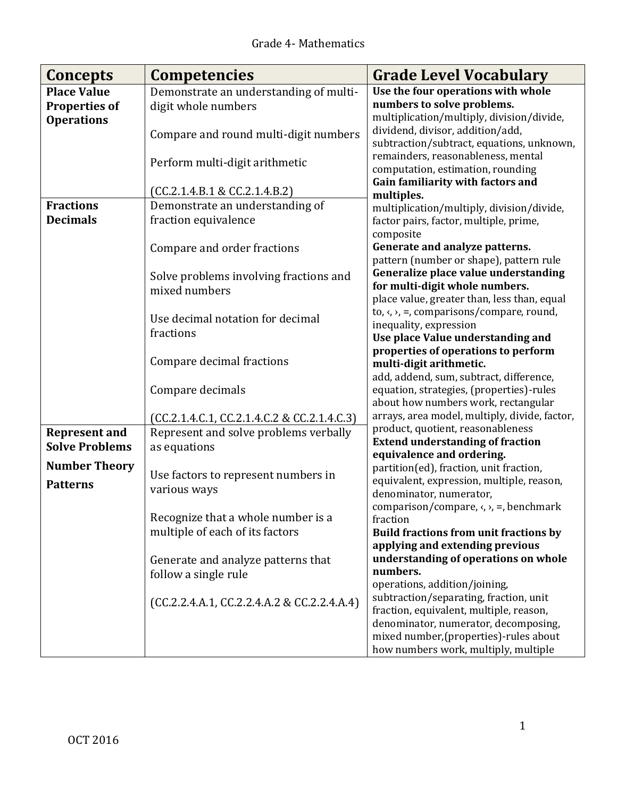| Concepts                                                        | <b>Competencies</b>                                           | <b>Grade Level Vocabulary</b>                                                                                 |
|-----------------------------------------------------------------|---------------------------------------------------------------|---------------------------------------------------------------------------------------------------------------|
| <b>Place Value</b><br><b>Properties of</b><br><b>Operations</b> | Demonstrate an understanding of multi-<br>digit whole numbers | Use the four operations with whole<br>numbers to solve problems.<br>multiplication/multiply, division/divide, |
|                                                                 | Compare and round multi-digit numbers                         | dividend, divisor, addition/add,<br>subtraction/subtract, equations, unknown,                                 |
|                                                                 | Perform multi-digit arithmetic                                | remainders, reasonableness, mental<br>computation, estimation, rounding<br>Gain familiarity with factors and  |
|                                                                 | (CC.2.1.4.B.1 & CC.2.1.4.B.2)                                 | multiples.                                                                                                    |
| <b>Fractions</b>                                                | Demonstrate an understanding of                               | multiplication/multiply, division/divide,                                                                     |
| <b>Decimals</b>                                                 | fraction equivalence                                          | factor pairs, factor, multiple, prime,<br>composite                                                           |
|                                                                 | Compare and order fractions                                   | Generate and analyze patterns.<br>pattern (number or shape), pattern rule                                     |
|                                                                 | Solve problems involving fractions and                        | Generalize place value understanding                                                                          |
|                                                                 | mixed numbers                                                 | for multi-digit whole numbers.                                                                                |
|                                                                 |                                                               | place value, greater than, less than, equal                                                                   |
|                                                                 | Use decimal notation for decimal                              | to, $\langle$ , $\rangle$ , =, comparisons/compare, round,<br>inequality, expression                          |
|                                                                 | fractions                                                     | Use place Value understanding and                                                                             |
|                                                                 |                                                               | properties of operations to perform                                                                           |
|                                                                 | Compare decimal fractions                                     | multi-digit arithmetic.                                                                                       |
|                                                                 |                                                               | add, addend, sum, subtract, difference,                                                                       |
|                                                                 | Compare decimals                                              | equation, strategies, (properties)-rules<br>about how numbers work, rectangular                               |
|                                                                 | (CC.2.1.4.C.1, CC.2.1.4.C.2 & CC.2.1.4.C.3)                   | arrays, area model, multiply, divide, factor,                                                                 |
| <b>Represent and</b>                                            | Represent and solve problems verbally                         | product, quotient, reasonableness                                                                             |
| <b>Solve Problems</b>                                           | as equations                                                  | <b>Extend understanding of fraction</b>                                                                       |
| <b>Number Theory</b>                                            |                                                               | equivalence and ordering.<br>partition(ed), fraction, unit fraction,                                          |
| <b>Patterns</b>                                                 | Use factors to represent numbers in                           | equivalent, expression, multiple, reason,                                                                     |
|                                                                 | various ways                                                  | denominator, numerator,                                                                                       |
|                                                                 |                                                               | comparison/compare, $\langle, \rangle$ , =, benchmark                                                         |
|                                                                 | Recognize that a whole number is a                            | fraction                                                                                                      |
|                                                                 | multiple of each of its factors                               | <b>Build fractions from unit fractions by</b>                                                                 |
|                                                                 |                                                               | applying and extending previous                                                                               |
|                                                                 | Generate and analyze patterns that<br>follow a single rule    | understanding of operations on whole<br>numbers.                                                              |
|                                                                 |                                                               | operations, addition/joining,                                                                                 |
|                                                                 | (CC.2.2.4.A.1, CC.2.2.4.A.2 & CC.2.2.4.A.4)                   | subtraction/separating, fraction, unit                                                                        |
|                                                                 |                                                               | fraction, equivalent, multiple, reason,                                                                       |
|                                                                 |                                                               | denominator, numerator, decomposing,                                                                          |
|                                                                 |                                                               | mixed number, (properties)-rules about                                                                        |
|                                                                 |                                                               | how numbers work, multiply, multiple                                                                          |